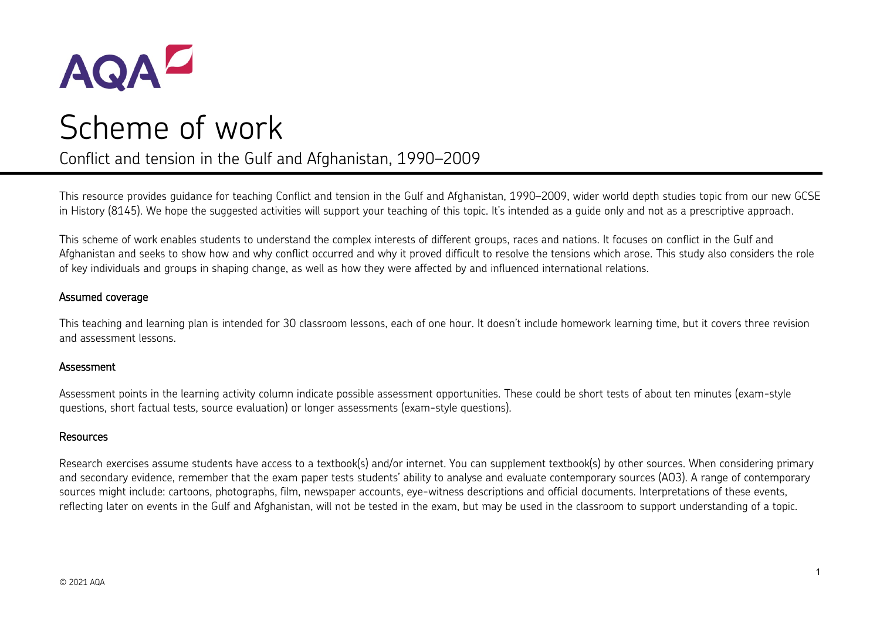

# Scheme of work

# Conflict and tension in the Gulf and Afghanistan, 1990–2009

This resource provides guidance for teaching Conflict and tension in the Gulf and Afghanistan, 1990–2009, wider world depth studies topic from our new GCSE in History (8145). We hope the suggested activities will support your teaching of this topic. It's intended as a guide only and not as a prescriptive approach.

This scheme of work enables students to understand the complex interests of different groups, races and nations. It focuses on conflict in the Gulf and Afghanistan and seeks to show how and why conflict occurred and why it proved difficult to resolve the tensions which arose. This study also considers the role of key individuals and groups in shaping change, as well as how they were affected by and influenced international relations.

### Assumed coverage

This teaching and learning plan is intended for 30 classroom lessons, each of one hour. It doesn't include homework learning time, but it covers three revision and assessment lessons.

### **Assessment**

Assessment points in the learning activity column indicate possible assessment opportunities. These could be short tests of about ten minutes (exam-style questions, short factual tests, source evaluation) or longer assessments (exam-style questions).

### Resources

Research exercises assume students have access to a textbook(s) and/or internet. You can supplement textbook(s) by other sources. When considering primary and secondary evidence, remember that the exam paper tests students' ability to analyse and evaluate contemporary sources (AO3). A range of contemporary sources might include: cartoons, photographs, film, newspaper accounts, eye-witness descriptions and official documents. Interpretations of these events, reflecting later on events in the Gulf and Afghanistan, will not be tested in the exam, but may be used in the classroom to support understanding of a topic.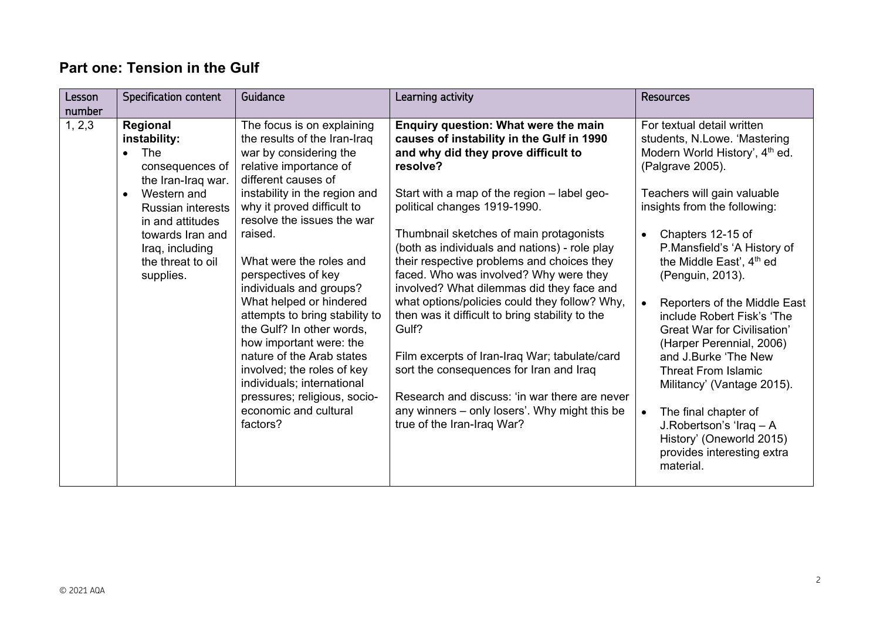# **Part one: Tension in the Gulf**

| Lesson<br>number | Specification content                                                                                                                                                                                                         | Guidance                                                                                                                                                                                                                                                                                                                                                                                                                                                                                                                                                                                                      | Learning activity                                                                                                                                                                                                                                                                                                                                                                                                                                                                                                                                                                                                                                                                                                                                                                             | <b>Resources</b>                                                                                                                                                                                                                                                                                                                                                                                                                                                                                                                                                                                                                                                                    |
|------------------|-------------------------------------------------------------------------------------------------------------------------------------------------------------------------------------------------------------------------------|---------------------------------------------------------------------------------------------------------------------------------------------------------------------------------------------------------------------------------------------------------------------------------------------------------------------------------------------------------------------------------------------------------------------------------------------------------------------------------------------------------------------------------------------------------------------------------------------------------------|-----------------------------------------------------------------------------------------------------------------------------------------------------------------------------------------------------------------------------------------------------------------------------------------------------------------------------------------------------------------------------------------------------------------------------------------------------------------------------------------------------------------------------------------------------------------------------------------------------------------------------------------------------------------------------------------------------------------------------------------------------------------------------------------------|-------------------------------------------------------------------------------------------------------------------------------------------------------------------------------------------------------------------------------------------------------------------------------------------------------------------------------------------------------------------------------------------------------------------------------------------------------------------------------------------------------------------------------------------------------------------------------------------------------------------------------------------------------------------------------------|
| 1, 2, 3          | Regional<br>instability:<br>The<br>consequences of<br>the Iran-Iraq war.<br>Western and<br>$\bullet$<br><b>Russian interests</b><br>in and attitudes<br>towards Iran and<br>Iraq, including<br>the threat to oil<br>supplies. | The focus is on explaining<br>the results of the Iran-Iraq<br>war by considering the<br>relative importance of<br>different causes of<br>instability in the region and<br>why it proved difficult to<br>resolve the issues the war<br>raised.<br>What were the roles and<br>perspectives of key<br>individuals and groups?<br>What helped or hindered<br>attempts to bring stability to<br>the Gulf? In other words,<br>how important were: the<br>nature of the Arab states<br>involved; the roles of key<br>individuals; international<br>pressures; religious, socio-<br>economic and cultural<br>factors? | Enquiry question: What were the main<br>causes of instability in the Gulf in 1990<br>and why did they prove difficult to<br>resolve?<br>Start with a map of the region - label geo-<br>political changes 1919-1990.<br>Thumbnail sketches of main protagonists<br>(both as individuals and nations) - role play<br>their respective problems and choices they<br>faced. Who was involved? Why were they<br>involved? What dilemmas did they face and<br>what options/policies could they follow? Why,<br>then was it difficult to bring stability to the<br>Gulf?<br>Film excerpts of Iran-Iraq War; tabulate/card<br>sort the consequences for Iran and Iraq<br>Research and discuss: 'in war there are never<br>any winners – only losers'. Why might this be<br>true of the Iran-Iraq War? | For textual detail written<br>students, N.Lowe. 'Mastering<br>Modern World History', 4 <sup>th</sup> ed.<br>(Palgrave 2005).<br>Teachers will gain valuable<br>insights from the following:<br>Chapters 12-15 of<br>$\bullet$<br>P.Mansfield's 'A History of<br>the Middle East', 4 <sup>th</sup> ed<br>(Penguin, 2013).<br>Reporters of the Middle East<br>include Robert Fisk's 'The<br><b>Great War for Civilisation'</b><br>(Harper Perennial, 2006)<br>and J.Burke 'The New<br><b>Threat From Islamic</b><br>Militancy' (Vantage 2015).<br>The final chapter of<br>$\bullet$<br>J.Robertson's 'Iraq - A<br>History' (Oneworld 2015)<br>provides interesting extra<br>material. |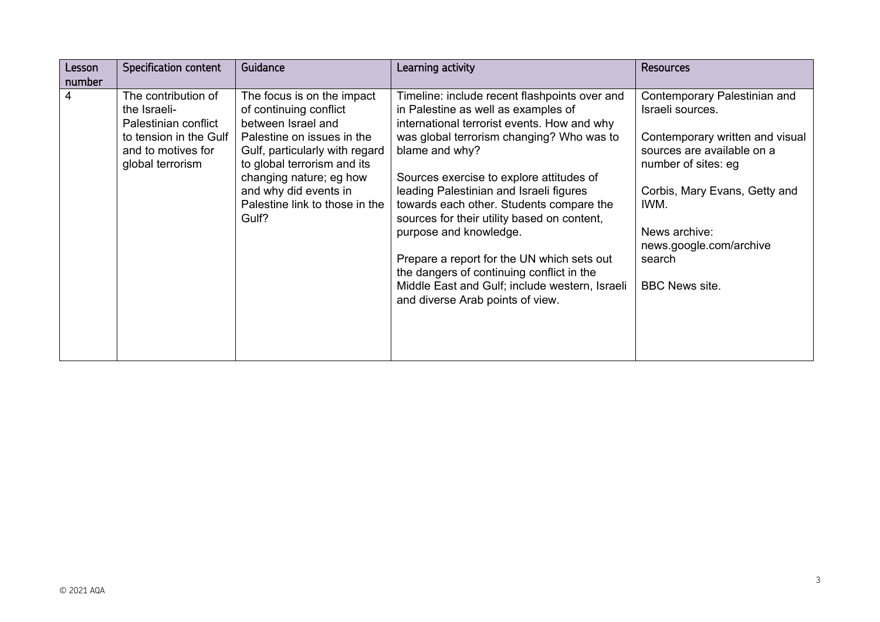| Lesson<br>number | Specification content                                                                                                           | Guidance                                                                                                                                                                                                                                                                 | Learning activity                                                                                                                                                                                                                                                                                                                                                                                                                                                                                                                                                                               | <b>Resources</b>                                                                                                                                                                                                                                                 |
|------------------|---------------------------------------------------------------------------------------------------------------------------------|--------------------------------------------------------------------------------------------------------------------------------------------------------------------------------------------------------------------------------------------------------------------------|-------------------------------------------------------------------------------------------------------------------------------------------------------------------------------------------------------------------------------------------------------------------------------------------------------------------------------------------------------------------------------------------------------------------------------------------------------------------------------------------------------------------------------------------------------------------------------------------------|------------------------------------------------------------------------------------------------------------------------------------------------------------------------------------------------------------------------------------------------------------------|
| 4                | The contribution of<br>the Israeli-<br>Palestinian conflict<br>to tension in the Gulf<br>and to motives for<br>global terrorism | The focus is on the impact<br>of continuing conflict<br>between Israel and<br>Palestine on issues in the<br>Gulf, particularly with regard<br>to global terrorism and its<br>changing nature; eg how<br>and why did events in<br>Palestine link to those in the<br>Gulf? | Timeline: include recent flashpoints over and<br>in Palestine as well as examples of<br>international terrorist events. How and why<br>was global terrorism changing? Who was to<br>blame and why?<br>Sources exercise to explore attitudes of<br>leading Palestinian and Israeli figures<br>towards each other. Students compare the<br>sources for their utility based on content,<br>purpose and knowledge.<br>Prepare a report for the UN which sets out<br>the dangers of continuing conflict in the<br>Middle East and Gulf; include western, Israeli<br>and diverse Arab points of view. | Contemporary Palestinian and<br>Israeli sources.<br>Contemporary written and visual<br>sources are available on a<br>number of sites: eg<br>Corbis, Mary Evans, Getty and<br>IWM.<br>News archive:<br>news.google.com/archive<br>search<br><b>BBC News site.</b> |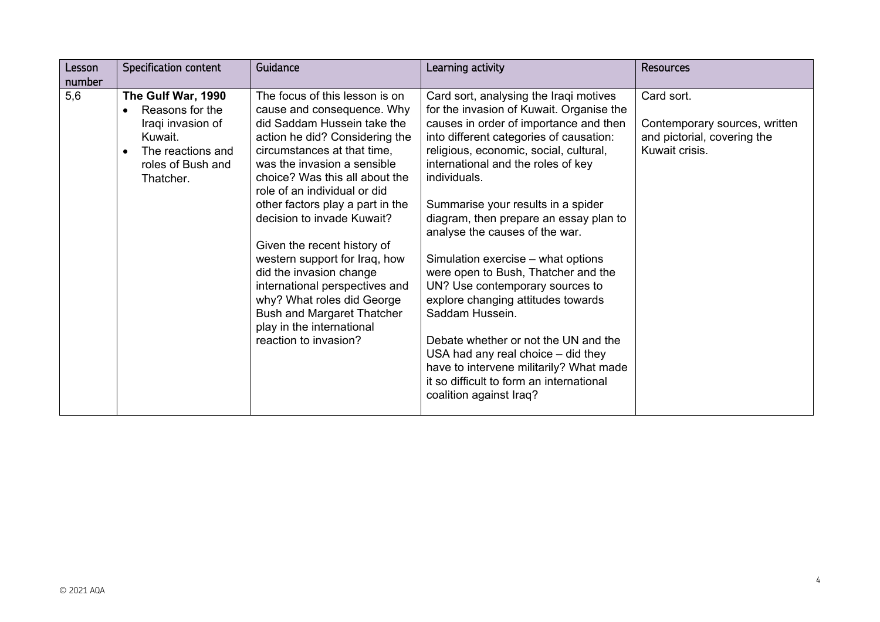| Lesson | <b>Specification content</b>                                                                                                 | Guidance                                                                                                                                                                                                                                                                                                                                                                                                                                                                                                                                                                              | Learning activity                                                                                                                                                                                                                                                                                                                                                                                                                                                                                                                                                                                                                                                                                                                                                    | <b>Resources</b>                                                                             |
|--------|------------------------------------------------------------------------------------------------------------------------------|---------------------------------------------------------------------------------------------------------------------------------------------------------------------------------------------------------------------------------------------------------------------------------------------------------------------------------------------------------------------------------------------------------------------------------------------------------------------------------------------------------------------------------------------------------------------------------------|----------------------------------------------------------------------------------------------------------------------------------------------------------------------------------------------------------------------------------------------------------------------------------------------------------------------------------------------------------------------------------------------------------------------------------------------------------------------------------------------------------------------------------------------------------------------------------------------------------------------------------------------------------------------------------------------------------------------------------------------------------------------|----------------------------------------------------------------------------------------------|
| number |                                                                                                                              |                                                                                                                                                                                                                                                                                                                                                                                                                                                                                                                                                                                       |                                                                                                                                                                                                                                                                                                                                                                                                                                                                                                                                                                                                                                                                                                                                                                      |                                                                                              |
| 5,6    | The Gulf War, 1990<br>Reasons for the<br>Iraqi invasion of<br>Kuwait.<br>The reactions and<br>roles of Bush and<br>Thatcher. | The focus of this lesson is on<br>cause and consequence. Why<br>did Saddam Hussein take the<br>action he did? Considering the<br>circumstances at that time,<br>was the invasion a sensible<br>choice? Was this all about the<br>role of an individual or did<br>other factors play a part in the<br>decision to invade Kuwait?<br>Given the recent history of<br>western support for Iraq, how<br>did the invasion change<br>international perspectives and<br>why? What roles did George<br><b>Bush and Margaret Thatcher</b><br>play in the international<br>reaction to invasion? | Card sort, analysing the Iraqi motives<br>for the invasion of Kuwait. Organise the<br>causes in order of importance and then<br>into different categories of causation:<br>religious, economic, social, cultural,<br>international and the roles of key<br>individuals.<br>Summarise your results in a spider<br>diagram, then prepare an essay plan to<br>analyse the causes of the war.<br>Simulation exercise – what options<br>were open to Bush, Thatcher and the<br>UN? Use contemporary sources to<br>explore changing attitudes towards<br>Saddam Hussein.<br>Debate whether or not the UN and the<br>USA had any real choice $-$ did they<br>have to intervene militarily? What made<br>it so difficult to form an international<br>coalition against Iraq? | Card sort.<br>Contemporary sources, written<br>and pictorial, covering the<br>Kuwait crisis. |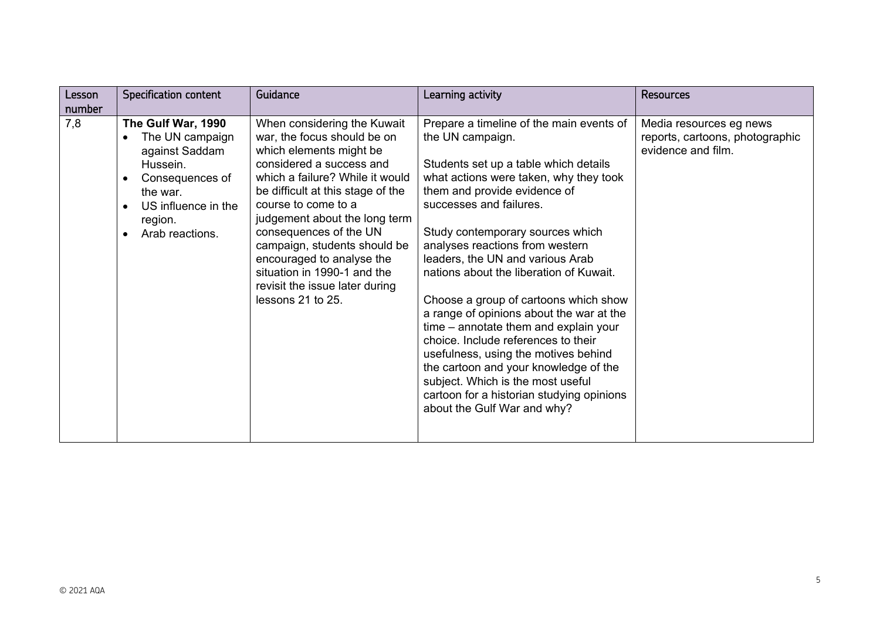| Lesson | <b>Specification content</b>                                                                                                                            | Guidance                                                                                                                                                                                                                                                                                                                                                                                                                       | Learning activity                                                                                                                                                                                                                                                                                                                                                                                                                                                                                                                                                                                                                                                                                                                       | <b>Resources</b>                                                                 |
|--------|---------------------------------------------------------------------------------------------------------------------------------------------------------|--------------------------------------------------------------------------------------------------------------------------------------------------------------------------------------------------------------------------------------------------------------------------------------------------------------------------------------------------------------------------------------------------------------------------------|-----------------------------------------------------------------------------------------------------------------------------------------------------------------------------------------------------------------------------------------------------------------------------------------------------------------------------------------------------------------------------------------------------------------------------------------------------------------------------------------------------------------------------------------------------------------------------------------------------------------------------------------------------------------------------------------------------------------------------------------|----------------------------------------------------------------------------------|
| number |                                                                                                                                                         |                                                                                                                                                                                                                                                                                                                                                                                                                                |                                                                                                                                                                                                                                                                                                                                                                                                                                                                                                                                                                                                                                                                                                                                         |                                                                                  |
| 7,8    | The Gulf War, 1990<br>The UN campaign<br>against Saddam<br>Hussein.<br>Consequences of<br>the war.<br>US influence in the<br>region.<br>Arab reactions. | When considering the Kuwait<br>war, the focus should be on<br>which elements might be<br>considered a success and<br>which a failure? While it would<br>be difficult at this stage of the<br>course to come to a<br>judgement about the long term<br>consequences of the UN<br>campaign, students should be<br>encouraged to analyse the<br>situation in 1990-1 and the<br>revisit the issue later during<br>lessons 21 to 25. | Prepare a timeline of the main events of<br>the UN campaign.<br>Students set up a table which details<br>what actions were taken, why they took<br>them and provide evidence of<br>successes and failures.<br>Study contemporary sources which<br>analyses reactions from western<br>leaders, the UN and various Arab<br>nations about the liberation of Kuwait.<br>Choose a group of cartoons which show<br>a range of opinions about the war at the<br>time – annotate them and explain your<br>choice. Include references to their<br>usefulness, using the motives behind<br>the cartoon and your knowledge of the<br>subject. Which is the most useful<br>cartoon for a historian studying opinions<br>about the Gulf War and why? | Media resources eg news<br>reports, cartoons, photographic<br>evidence and film. |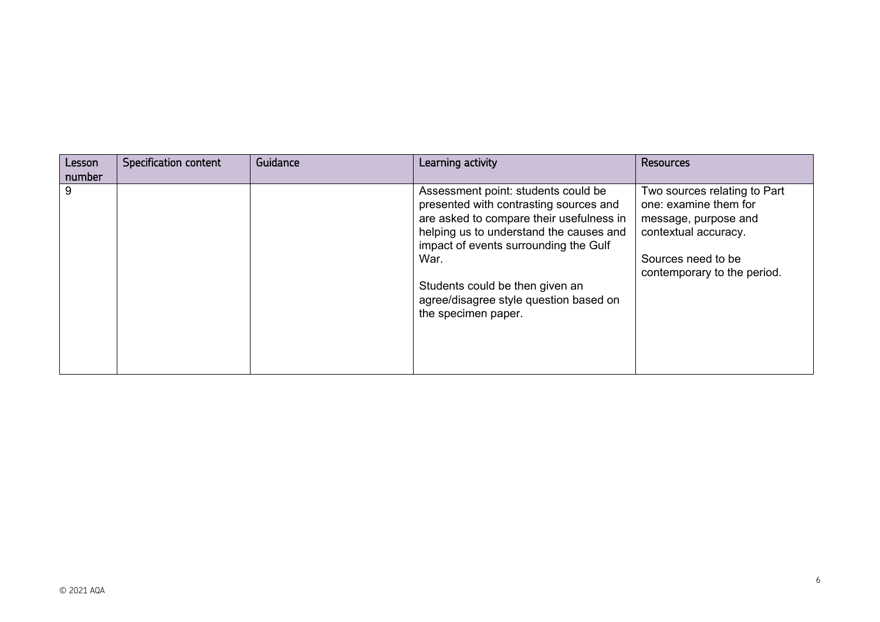| Lesson<br>number | <b>Specification content</b> | Guidance | Learning activity                                                                                                                                                                                                                                                                                                         | <b>Resources</b>                                                                                                                                           |
|------------------|------------------------------|----------|---------------------------------------------------------------------------------------------------------------------------------------------------------------------------------------------------------------------------------------------------------------------------------------------------------------------------|------------------------------------------------------------------------------------------------------------------------------------------------------------|
| 9                |                              |          | Assessment point: students could be<br>presented with contrasting sources and<br>are asked to compare their usefulness in<br>helping us to understand the causes and<br>impact of events surrounding the Gulf<br>War.<br>Students could be then given an<br>agree/disagree style question based on<br>the specimen paper. | Two sources relating to Part<br>one: examine them for<br>message, purpose and<br>contextual accuracy.<br>Sources need to be<br>contemporary to the period. |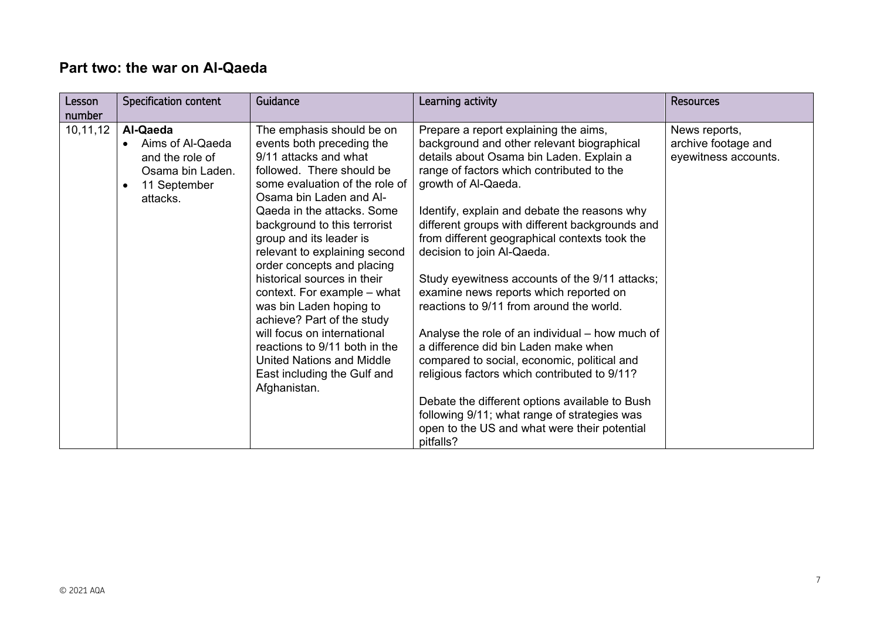## **Part two: the war on Al-Qaeda**

| Lesson             | Specification content                                                                           | Guidance                                                                                                                                                                                                                                                                                                                                                                                                                                                                                                                                                                                             | Learning activity                                                                                                                                                                                                                                                                                                                                                                                                                                                                                                                                                                                                                                                                                                                                                                                                                                                                      | <b>Resources</b>                                             |
|--------------------|-------------------------------------------------------------------------------------------------|------------------------------------------------------------------------------------------------------------------------------------------------------------------------------------------------------------------------------------------------------------------------------------------------------------------------------------------------------------------------------------------------------------------------------------------------------------------------------------------------------------------------------------------------------------------------------------------------------|----------------------------------------------------------------------------------------------------------------------------------------------------------------------------------------------------------------------------------------------------------------------------------------------------------------------------------------------------------------------------------------------------------------------------------------------------------------------------------------------------------------------------------------------------------------------------------------------------------------------------------------------------------------------------------------------------------------------------------------------------------------------------------------------------------------------------------------------------------------------------------------|--------------------------------------------------------------|
| number<br>10,11,12 | Al-Qaeda<br>Aims of Al-Qaeda<br>and the role of<br>Osama bin Laden.<br>11 September<br>attacks. | The emphasis should be on<br>events both preceding the<br>9/11 attacks and what<br>followed. There should be<br>some evaluation of the role of<br>Osama bin Laden and Al-<br>Qaeda in the attacks, Some<br>background to this terrorist<br>group and its leader is<br>relevant to explaining second<br>order concepts and placing<br>historical sources in their<br>context. For example – what<br>was bin Laden hoping to<br>achieve? Part of the study<br>will focus on international<br>reactions to 9/11 both in the<br>United Nations and Middle<br>East including the Gulf and<br>Afghanistan. | Prepare a report explaining the aims,<br>background and other relevant biographical<br>details about Osama bin Laden. Explain a<br>range of factors which contributed to the<br>growth of Al-Qaeda.<br>Identify, explain and debate the reasons why<br>different groups with different backgrounds and<br>from different geographical contexts took the<br>decision to join Al-Qaeda.<br>Study eyewitness accounts of the 9/11 attacks;<br>examine news reports which reported on<br>reactions to 9/11 from around the world.<br>Analyse the role of an individual – how much of<br>a difference did bin Laden make when<br>compared to social, economic, political and<br>religious factors which contributed to 9/11?<br>Debate the different options available to Bush<br>following 9/11; what range of strategies was<br>open to the US and what were their potential<br>pitfalls? | News reports,<br>archive footage and<br>eyewitness accounts. |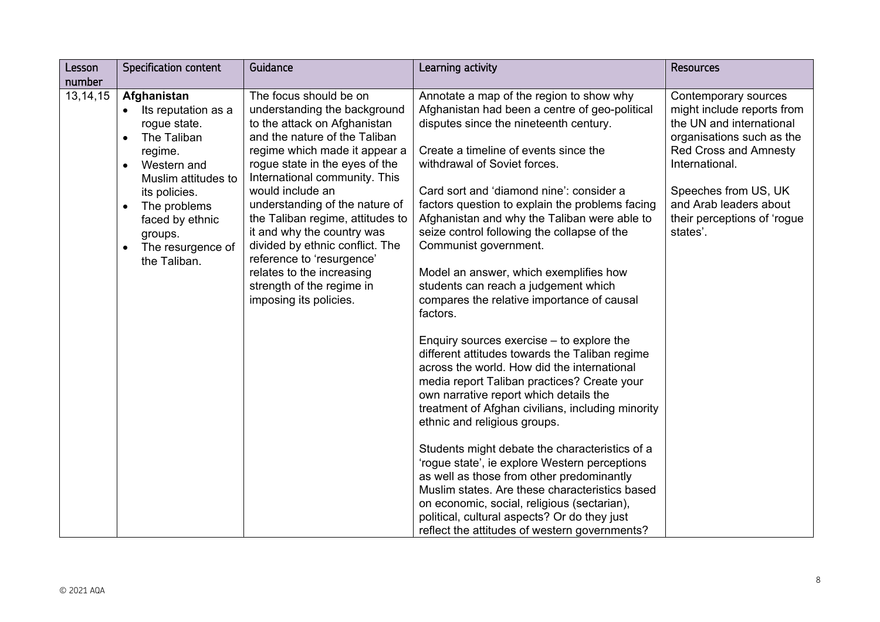| Lesson     | <b>Specification content</b>                                                                                                                                                                                                                                               | Guidance                                                                                                                                                                                                                                                                                                                                                                                                                                                                                                | Learning activity                                                                                                                                                                                                                                                                                                                                                                                                                                                                                                                                                                                                                                                                                                                                                                                                                                                                                                                                                                                                                                                                                                                                                                                                                                                | <b>Resources</b>                                                                                                                                                                                                                                           |
|------------|----------------------------------------------------------------------------------------------------------------------------------------------------------------------------------------------------------------------------------------------------------------------------|---------------------------------------------------------------------------------------------------------------------------------------------------------------------------------------------------------------------------------------------------------------------------------------------------------------------------------------------------------------------------------------------------------------------------------------------------------------------------------------------------------|------------------------------------------------------------------------------------------------------------------------------------------------------------------------------------------------------------------------------------------------------------------------------------------------------------------------------------------------------------------------------------------------------------------------------------------------------------------------------------------------------------------------------------------------------------------------------------------------------------------------------------------------------------------------------------------------------------------------------------------------------------------------------------------------------------------------------------------------------------------------------------------------------------------------------------------------------------------------------------------------------------------------------------------------------------------------------------------------------------------------------------------------------------------------------------------------------------------------------------------------------------------|------------------------------------------------------------------------------------------------------------------------------------------------------------------------------------------------------------------------------------------------------------|
| number     |                                                                                                                                                                                                                                                                            |                                                                                                                                                                                                                                                                                                                                                                                                                                                                                                         |                                                                                                                                                                                                                                                                                                                                                                                                                                                                                                                                                                                                                                                                                                                                                                                                                                                                                                                                                                                                                                                                                                                                                                                                                                                                  |                                                                                                                                                                                                                                                            |
| 13, 14, 15 | Afghanistan<br>Its reputation as a<br>rogue state.<br>The Taliban<br>$\bullet$<br>regime.<br>Western and<br>$\bullet$<br>Muslim attitudes to<br>its policies.<br>The problems<br>$\bullet$<br>faced by ethnic<br>groups.<br>The resurgence of<br>$\bullet$<br>the Taliban. | The focus should be on<br>understanding the background<br>to the attack on Afghanistan<br>and the nature of the Taliban<br>regime which made it appear a<br>rogue state in the eyes of the<br>International community. This<br>would include an<br>understanding of the nature of<br>the Taliban regime, attitudes to<br>it and why the country was<br>divided by ethnic conflict. The<br>reference to 'resurgence'<br>relates to the increasing<br>strength of the regime in<br>imposing its policies. | Annotate a map of the region to show why<br>Afghanistan had been a centre of geo-political<br>disputes since the nineteenth century.<br>Create a timeline of events since the<br>withdrawal of Soviet forces.<br>Card sort and 'diamond nine': consider a<br>factors question to explain the problems facing<br>Afghanistan and why the Taliban were able to<br>seize control following the collapse of the<br>Communist government.<br>Model an answer, which exemplifies how<br>students can reach a judgement which<br>compares the relative importance of causal<br>factors.<br>Enquiry sources exercise $-$ to explore the<br>different attitudes towards the Taliban regime<br>across the world. How did the international<br>media report Taliban practices? Create your<br>own narrative report which details the<br>treatment of Afghan civilians, including minority<br>ethnic and religious groups.<br>Students might debate the characteristics of a<br>'rogue state', ie explore Western perceptions<br>as well as those from other predominantly<br>Muslim states. Are these characteristics based<br>on economic, social, religious (sectarian),<br>political, cultural aspects? Or do they just<br>reflect the attitudes of western governments? | Contemporary sources<br>might include reports from<br>the UN and international<br>organisations such as the<br><b>Red Cross and Amnesty</b><br>International.<br>Speeches from US, UK<br>and Arab leaders about<br>their perceptions of 'rogue<br>states'. |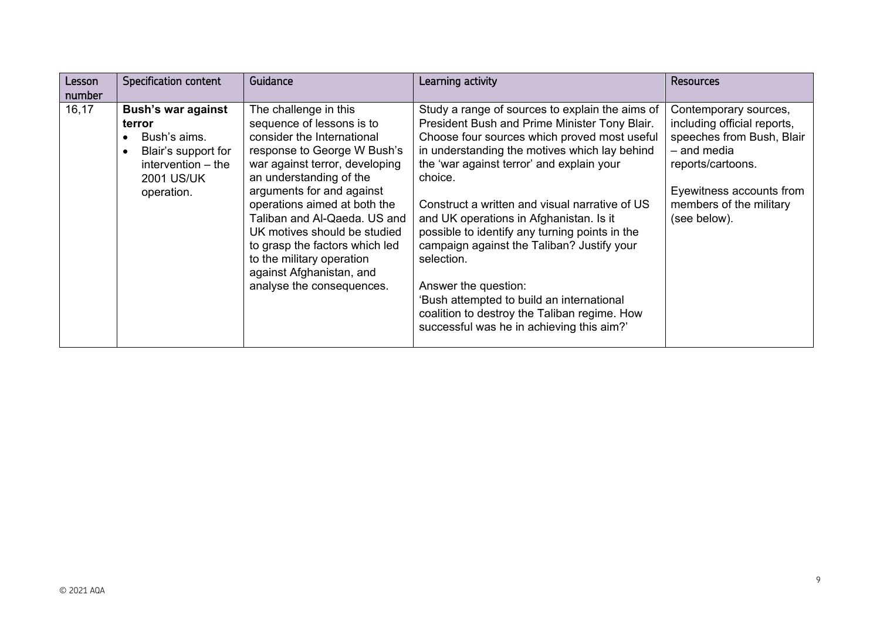| Lesson<br>number | <b>Specification content</b>                                                                                                          | Guidance                                                                                                                                                                                                                                                                                                                                                                                                                          | Learning activity                                                                                                                                                                                                                                                                                                                                                                                                                                                                                                                                                                                                                      | <b>Resources</b>                                                                                                                                                                             |
|------------------|---------------------------------------------------------------------------------------------------------------------------------------|-----------------------------------------------------------------------------------------------------------------------------------------------------------------------------------------------------------------------------------------------------------------------------------------------------------------------------------------------------------------------------------------------------------------------------------|----------------------------------------------------------------------------------------------------------------------------------------------------------------------------------------------------------------------------------------------------------------------------------------------------------------------------------------------------------------------------------------------------------------------------------------------------------------------------------------------------------------------------------------------------------------------------------------------------------------------------------------|----------------------------------------------------------------------------------------------------------------------------------------------------------------------------------------------|
| 16,17            | <b>Bush's war against</b><br>terror<br>Bush's aims.<br>Blair's support for<br>intervention $-$ the<br><b>2001 US/UK</b><br>operation. | The challenge in this<br>sequence of lessons is to<br>consider the International<br>response to George W Bush's<br>war against terror, developing<br>an understanding of the<br>arguments for and against<br>operations aimed at both the<br>Taliban and Al-Qaeda. US and<br>UK motives should be studied<br>to grasp the factors which led<br>to the military operation<br>against Afghanistan, and<br>analyse the consequences. | Study a range of sources to explain the aims of<br>President Bush and Prime Minister Tony Blair.<br>Choose four sources which proved most useful<br>in understanding the motives which lay behind<br>the 'war against terror' and explain your<br>choice.<br>Construct a written and visual narrative of US<br>and UK operations in Afghanistan. Is it<br>possible to identify any turning points in the<br>campaign against the Taliban? Justify your<br>selection.<br>Answer the question:<br>'Bush attempted to build an international<br>coalition to destroy the Taliban regime. How<br>successful was he in achieving this aim?' | Contemporary sources,<br>including official reports,<br>speeches from Bush, Blair<br>- and media<br>reports/cartoons.<br>Eyewitness accounts from<br>members of the military<br>(see below). |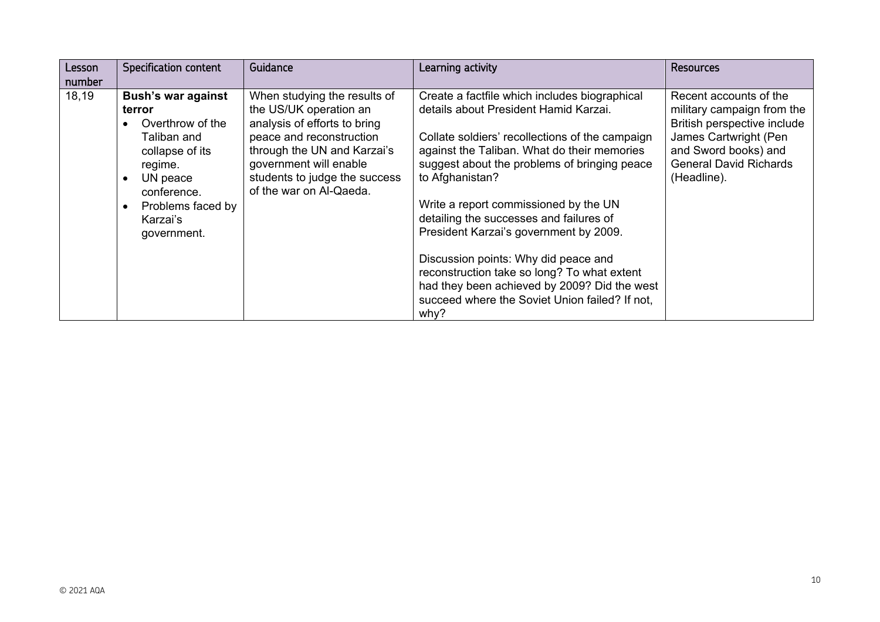| Lesson<br>number | <b>Specification content</b>                                                                                                                                                    | Guidance                                                                                                                                                                                                                                | Learning activity                                                                                                                                                                                                                                                                                                                                                                                                                                                                                                                                                                          | <b>Resources</b>                                                                                                                                                                     |
|------------------|---------------------------------------------------------------------------------------------------------------------------------------------------------------------------------|-----------------------------------------------------------------------------------------------------------------------------------------------------------------------------------------------------------------------------------------|--------------------------------------------------------------------------------------------------------------------------------------------------------------------------------------------------------------------------------------------------------------------------------------------------------------------------------------------------------------------------------------------------------------------------------------------------------------------------------------------------------------------------------------------------------------------------------------------|--------------------------------------------------------------------------------------------------------------------------------------------------------------------------------------|
| 18,19            | <b>Bush's war against</b><br>terror<br>Overthrow of the<br>Taliban and<br>collapse of its<br>regime.<br>UN peace<br>conference.<br>Problems faced by<br>Karzai's<br>government. | When studying the results of<br>the US/UK operation an<br>analysis of efforts to bring<br>peace and reconstruction<br>through the UN and Karzai's<br>government will enable<br>students to judge the success<br>of the war on Al-Qaeda. | Create a factfile which includes biographical<br>details about President Hamid Karzai.<br>Collate soldiers' recollections of the campaign<br>against the Taliban. What do their memories<br>suggest about the problems of bringing peace<br>to Afghanistan?<br>Write a report commissioned by the UN<br>detailing the successes and failures of<br>President Karzai's government by 2009.<br>Discussion points: Why did peace and<br>reconstruction take so long? To what extent<br>had they been achieved by 2009? Did the west<br>succeed where the Soviet Union failed? If not,<br>why? | Recent accounts of the<br>military campaign from the<br>British perspective include<br>James Cartwright (Pen<br>and Sword books) and<br><b>General David Richards</b><br>(Headline). |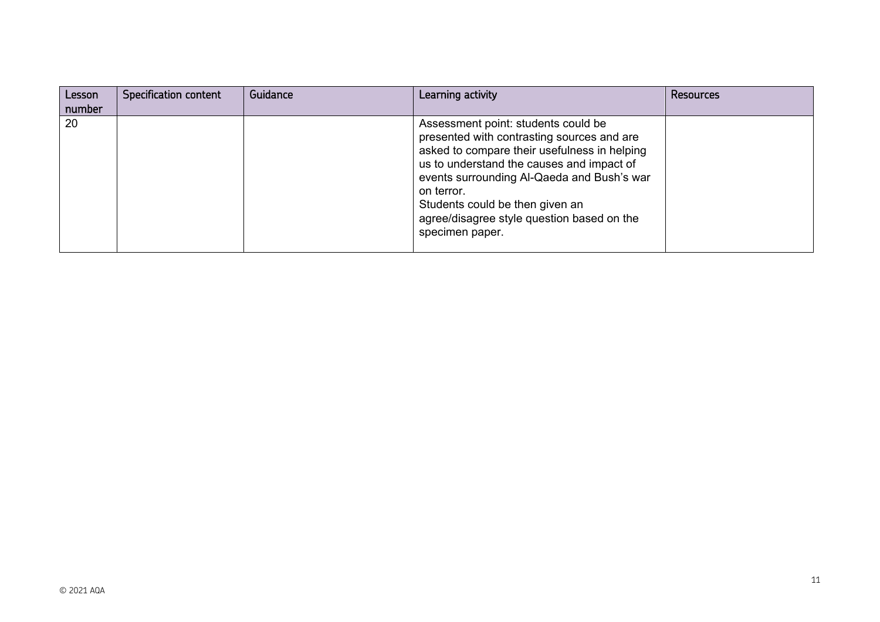| Lesson<br>number | <b>Specification content</b> | Guidance | Learning activity                                                                                                                                                                                                                                                                                                                              | <b>Resources</b> |
|------------------|------------------------------|----------|------------------------------------------------------------------------------------------------------------------------------------------------------------------------------------------------------------------------------------------------------------------------------------------------------------------------------------------------|------------------|
| 120              |                              |          | Assessment point: students could be<br>presented with contrasting sources and are<br>asked to compare their usefulness in helping<br>us to understand the causes and impact of<br>events surrounding Al-Qaeda and Bush's war<br>on terror.<br>Students could be then given an<br>agree/disagree style question based on the<br>specimen paper. |                  |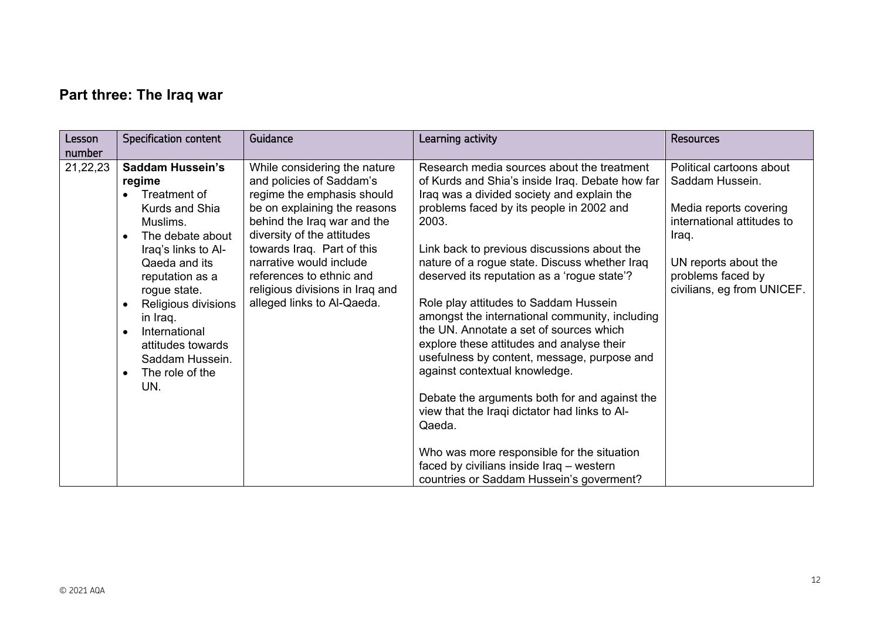# **Part three: The Iraq war**

| Lesson   | <b>Specification content</b>  | Guidance                        | Learning activity                               | <b>Resources</b>           |
|----------|-------------------------------|---------------------------------|-------------------------------------------------|----------------------------|
| number   |                               |                                 |                                                 |                            |
| 21,22,23 | <b>Saddam Hussein's</b>       | While considering the nature    | Research media sources about the treatment      | Political cartoons about   |
|          | regime                        | and policies of Saddam's        | of Kurds and Shia's inside Iraq. Debate how far | Saddam Hussein.            |
|          | Treatment of                  | regime the emphasis should      | Iraq was a divided society and explain the      |                            |
|          | Kurds and Shia                | be on explaining the reasons    | problems faced by its people in 2002 and        | Media reports covering     |
|          | Muslims.                      | behind the Iraq war and the     | 2003.                                           | international attitudes to |
|          | The debate about<br>$\bullet$ | diversity of the attitudes      |                                                 | Iraq.                      |
|          | Iraq's links to Al-           | towards Iraq. Part of this      | Link back to previous discussions about the     |                            |
|          | Qaeda and its                 | narrative would include         | nature of a rogue state. Discuss whether Iraq   | UN reports about the       |
|          |                               | references to ethnic and        | deserved its reputation as a 'rogue state'?     | problems faced by          |
|          | reputation as a               |                                 |                                                 |                            |
|          | rogue state.                  | religious divisions in Iraq and |                                                 | civilians, eg from UNICEF. |
|          | Religious divisions           | alleged links to Al-Qaeda.      | Role play attitudes to Saddam Hussein           |                            |
|          | in Iraq.                      |                                 | amongst the international community, including  |                            |
|          | International<br>$\epsilon$   |                                 | the UN. Annotate a set of sources which         |                            |
|          | attitudes towards             |                                 | explore these attitudes and analyse their       |                            |
|          | Saddam Hussein.               |                                 | usefulness by content, message, purpose and     |                            |
|          | The role of the<br>$\epsilon$ |                                 | against contextual knowledge.                   |                            |
|          | UN.                           |                                 |                                                 |                            |
|          |                               |                                 | Debate the arguments both for and against the   |                            |
|          |                               |                                 | view that the Iraqi dictator had links to Al-   |                            |
|          |                               |                                 | Qaeda.                                          |                            |
|          |                               |                                 |                                                 |                            |
|          |                               |                                 | Who was more responsible for the situation      |                            |
|          |                               |                                 | faced by civilians inside Iraq - western        |                            |
|          |                               |                                 | countries or Saddam Hussein's goverment?        |                            |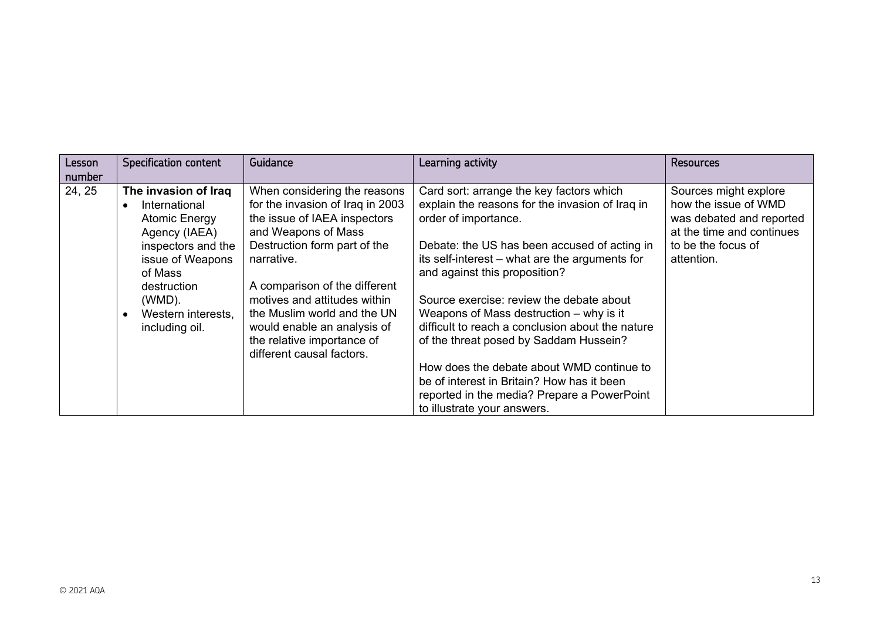| Lesson | <b>Specification content</b>                                                                                                                                                                         | Guidance                                                                                                                                                                                                                                                                                                                                                        | Learning activity                                                                                                                                                                                                                                                                                                                                                                                                                                                                                                                                                                                                    | <b>Resources</b>                                                                                                                           |
|--------|------------------------------------------------------------------------------------------------------------------------------------------------------------------------------------------------------|-----------------------------------------------------------------------------------------------------------------------------------------------------------------------------------------------------------------------------------------------------------------------------------------------------------------------------------------------------------------|----------------------------------------------------------------------------------------------------------------------------------------------------------------------------------------------------------------------------------------------------------------------------------------------------------------------------------------------------------------------------------------------------------------------------------------------------------------------------------------------------------------------------------------------------------------------------------------------------------------------|--------------------------------------------------------------------------------------------------------------------------------------------|
| number |                                                                                                                                                                                                      |                                                                                                                                                                                                                                                                                                                                                                 |                                                                                                                                                                                                                                                                                                                                                                                                                                                                                                                                                                                                                      |                                                                                                                                            |
| 24, 25 | The invasion of Iraq<br>International<br><b>Atomic Energy</b><br>Agency (IAEA)<br>inspectors and the<br>issue of Weapons<br>of Mass<br>destruction<br>(WMD).<br>Western interests,<br>including oil. | When considering the reasons<br>for the invasion of Iraq in 2003<br>the issue of IAEA inspectors<br>and Weapons of Mass<br>Destruction form part of the<br>narrative.<br>A comparison of the different<br>motives and attitudes within<br>the Muslim world and the UN<br>would enable an analysis of<br>the relative importance of<br>different causal factors. | Card sort: arrange the key factors which<br>explain the reasons for the invasion of Iraq in<br>order of importance.<br>Debate: the US has been accused of acting in<br>its self-interest – what are the arguments for<br>and against this proposition?<br>Source exercise: review the debate about<br>Weapons of Mass destruction – why is it<br>difficult to reach a conclusion about the nature<br>of the threat posed by Saddam Hussein?<br>How does the debate about WMD continue to<br>be of interest in Britain? How has it been<br>reported in the media? Prepare a PowerPoint<br>to illustrate your answers. | Sources might explore<br>how the issue of WMD<br>was debated and reported<br>at the time and continues<br>to be the focus of<br>attention. |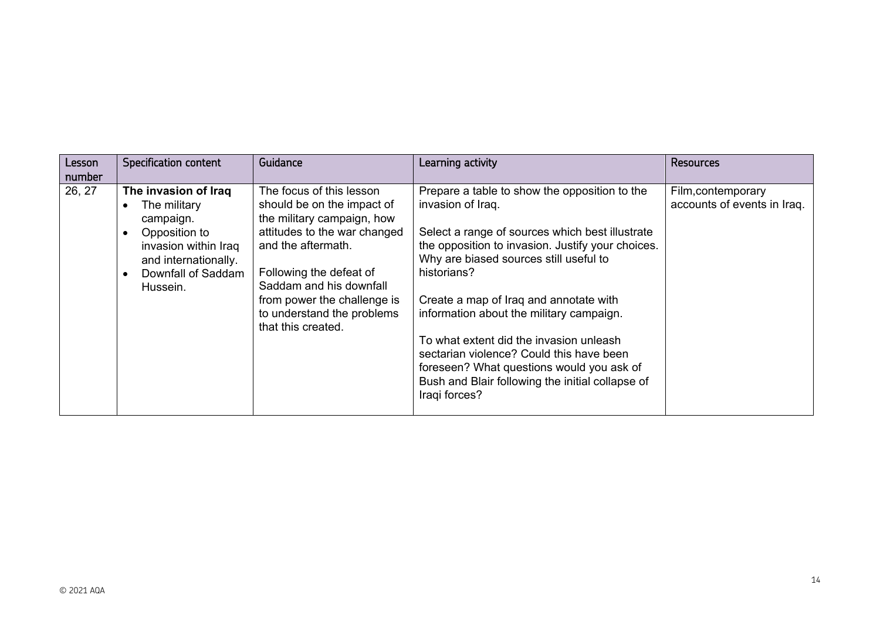| Lesson | <b>Specification content</b>                                                                                                                         | Guidance                                                                                                                                                                                                                                                                            | Learning activity                                                                                                                                                                                                                                                                                                                                                                                                                                                                                                                  | <b>Resources</b>                                  |
|--------|------------------------------------------------------------------------------------------------------------------------------------------------------|-------------------------------------------------------------------------------------------------------------------------------------------------------------------------------------------------------------------------------------------------------------------------------------|------------------------------------------------------------------------------------------------------------------------------------------------------------------------------------------------------------------------------------------------------------------------------------------------------------------------------------------------------------------------------------------------------------------------------------------------------------------------------------------------------------------------------------|---------------------------------------------------|
| number |                                                                                                                                                      |                                                                                                                                                                                                                                                                                     |                                                                                                                                                                                                                                                                                                                                                                                                                                                                                                                                    |                                                   |
| 26, 27 | The invasion of Iraq<br>The military<br>campaign.<br>Opposition to<br>invasion within Iraq<br>and internationally.<br>Downfall of Saddam<br>Hussein. | The focus of this lesson<br>should be on the impact of<br>the military campaign, how<br>attitudes to the war changed<br>and the aftermath.<br>Following the defeat of<br>Saddam and his downfall<br>from power the challenge is<br>to understand the problems<br>that this created. | Prepare a table to show the opposition to the<br>invasion of Iraq.<br>Select a range of sources which best illustrate<br>the opposition to invasion. Justify your choices.<br>Why are biased sources still useful to<br>historians?<br>Create a map of Iraq and annotate with<br>information about the military campaign.<br>To what extent did the invasion unleash<br>sectarian violence? Could this have been<br>foreseen? What questions would you ask of<br>Bush and Blair following the initial collapse of<br>Iraqi forces? | Film, contemporary<br>accounts of events in Iraq. |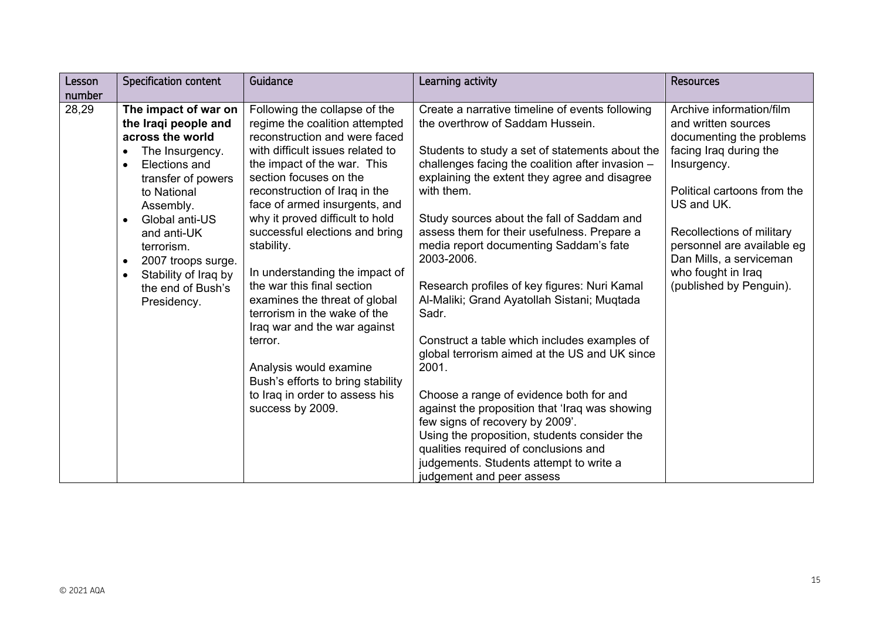| Specification content<br>Lesson                                                                                                                                                                                                                                                                                                                                             | Guidance                                                                                                                                                                                                                                                                                                                                                                                                                                                                                                                                                                                                                                            | Learning activity                                                                                                                                                                                                                                                                                                                                                                                                                                                                                                                                                                                                                                                                                                                                                                                                                                         | <b>Resources</b>                                                                                                                                                                                                                                                                                         |
|-----------------------------------------------------------------------------------------------------------------------------------------------------------------------------------------------------------------------------------------------------------------------------------------------------------------------------------------------------------------------------|-----------------------------------------------------------------------------------------------------------------------------------------------------------------------------------------------------------------------------------------------------------------------------------------------------------------------------------------------------------------------------------------------------------------------------------------------------------------------------------------------------------------------------------------------------------------------------------------------------------------------------------------------------|-----------------------------------------------------------------------------------------------------------------------------------------------------------------------------------------------------------------------------------------------------------------------------------------------------------------------------------------------------------------------------------------------------------------------------------------------------------------------------------------------------------------------------------------------------------------------------------------------------------------------------------------------------------------------------------------------------------------------------------------------------------------------------------------------------------------------------------------------------------|----------------------------------------------------------------------------------------------------------------------------------------------------------------------------------------------------------------------------------------------------------------------------------------------------------|
|                                                                                                                                                                                                                                                                                                                                                                             |                                                                                                                                                                                                                                                                                                                                                                                                                                                                                                                                                                                                                                                     |                                                                                                                                                                                                                                                                                                                                                                                                                                                                                                                                                                                                                                                                                                                                                                                                                                                           |                                                                                                                                                                                                                                                                                                          |
| number<br>28,29<br>The impact of war on<br>the Iraqi people and<br>across the world<br>The Insurgency.<br>$\bullet$<br>Elections and<br>$\bullet$<br>transfer of powers<br>to National<br>Assembly.<br>Global anti-US<br>$\bullet$<br>and anti-UK<br>terrorism.<br>2007 troops surge.<br>$\bullet$<br>Stability of Iraq by<br>$\bullet$<br>the end of Bush's<br>Presidency. | Following the collapse of the<br>regime the coalition attempted<br>reconstruction and were faced<br>with difficult issues related to<br>the impact of the war. This<br>section focuses on the<br>reconstruction of Iraq in the<br>face of armed insurgents, and<br>why it proved difficult to hold<br>successful elections and bring<br>stability.<br>In understanding the impact of<br>the war this final section<br>examines the threat of global<br>terrorism in the wake of the<br>Iraq war and the war against<br>terror.<br>Analysis would examine<br>Bush's efforts to bring stability<br>to Iraq in order to assess his<br>success by 2009. | Create a narrative timeline of events following<br>the overthrow of Saddam Hussein.<br>Students to study a set of statements about the<br>challenges facing the coalition after invasion -<br>explaining the extent they agree and disagree<br>with them.<br>Study sources about the fall of Saddam and<br>assess them for their usefulness. Prepare a<br>media report documenting Saddam's fate<br>2003-2006.<br>Research profiles of key figures: Nuri Kamal<br>Al-Maliki; Grand Ayatollah Sistani; Muqtada<br>Sadr.<br>Construct a table which includes examples of<br>global terrorism aimed at the US and UK since<br>2001.<br>Choose a range of evidence both for and<br>against the proposition that 'Iraq was showing<br>few signs of recovery by 2009'.<br>Using the proposition, students consider the<br>qualities required of conclusions and | Archive information/film<br>and written sources<br>documenting the problems<br>facing Iraq during the<br>Insurgency.<br>Political cartoons from the<br>US and UK.<br>Recollections of military<br>personnel are available eg<br>Dan Mills, a serviceman<br>who fought in Iraq<br>(published by Penguin). |
|                                                                                                                                                                                                                                                                                                                                                                             |                                                                                                                                                                                                                                                                                                                                                                                                                                                                                                                                                                                                                                                     | judgements. Students attempt to write a                                                                                                                                                                                                                                                                                                                                                                                                                                                                                                                                                                                                                                                                                                                                                                                                                   |                                                                                                                                                                                                                                                                                                          |